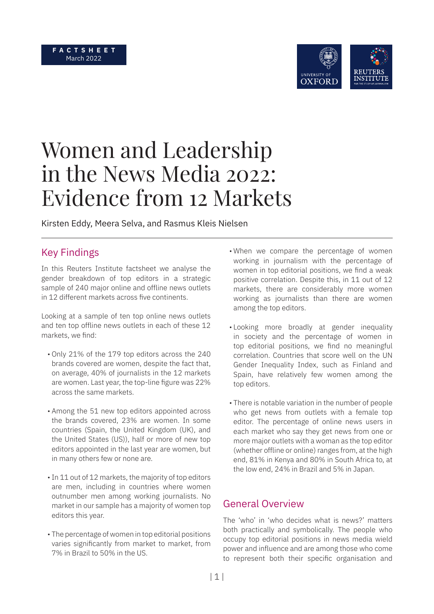#### **F A C T S H E E T**  March 2022



# Women and Leadership in the News Media 2022: Evidence from 12 Markets

Kirsten Eddy, Meera Selva, and Rasmus Kleis Nielsen

# Key Findings

In this Reuters Institute factsheet we analyse the gender breakdown of top editors in a strategic sample of 240 major online and offline news outlets in 12 different markets across five continents.

Looking at a sample of ten top online news outlets and ten top offline news outlets in each of these 12 markets, we find:

- Only 21% of the 179 top editors across the 240 brands covered are women, despite the fact that, on average, 40% of journalists in the 12 markets are women. Last year, the top-line figure was 22% across the same markets.
- Among the 51 new top editors appointed across the brands covered, 23% are women. In some countries (Spain, the United Kingdom (UK), and the United States (US)), half or more of new top editors appointed in the last year are women, but in many others few or none are.
- •In 11 out of 12 markets, the majority of top editors are men, including in countries where women outnumber men among working journalists. No market in our sample has a majority of women top editors this year.
- The percentage of women in top editorial positions varies significantly from market to market, from 7% in Brazil to 50% in the US.
- When we compare the percentage of women working in journalism with the percentage of women in top editorial positions, we find a weak positive correlation. Despite this, in 11 out of 12 markets, there are considerably more women working as journalists than there are women among the top editors.
- Looking more broadly at gender inequality in society and the percentage of women in top editorial positions, we find no meaningful correlation. Countries that score well on the UN Gender Inequality Index, such as Finland and Spain, have relatively few women among the top editors.
- There is notable variation in the number of people who get news from outlets with a female top editor. The percentage of online news users in each market who say they get news from one or more major outlets with a woman as the top editor (whether offline or online) ranges from, at the high end, 81% in Kenya and 80% in South Africa to, at the low end, 24% in Brazil and 5% in Japan.

#### General Overview

The 'who' in 'who decides what is news?' matters both practically and symbolically. The people who occupy top editorial positions in news media wield power and influence and are among those who come to represent both their specific organisation and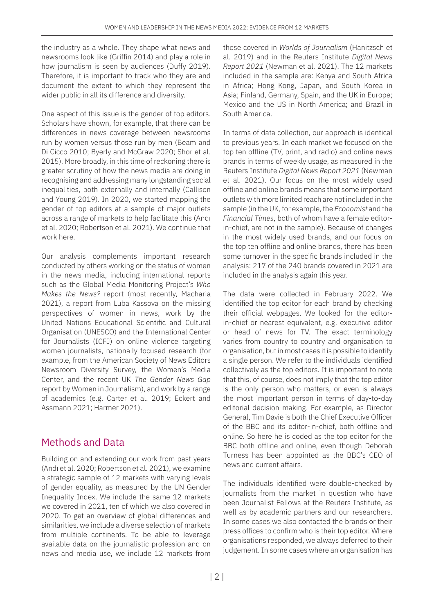the industry as a whole. They shape what news and newsrooms look like (Griffin 2014) and play a role in how journalism is seen by audiences (Duffy 2019). Therefore, it is important to track who they are and document the extent to which they represent the wider public in all its difference and diversity.

One aspect of this issue is the gender of top editors. Scholars have shown, for example, that there can be differences in news coverage between newsrooms run by women versus those run by men (Beam and Di Cicco 2010; Byerly and McGraw 2020; Shor et al. 2015). More broadly, in this time of reckoning there is greater scrutiny of how the news media are doing in recognising and addressing many longstanding social inequalities, both externally and internally (Callison and Young 2019). In 2020, we started mapping the gender of top editors at a sample of major outlets across a range of markets to help facilitate this (Andı et al. 2020; Robertson et al. 2021). We continue that work here.

Our analysis complements important research conducted by others working on the status of women in the news media, including international reports such as the Global Media Monitoring Project's *Who Makes the News?* report (most recently, Macharia 2021), a report from Luba Kassova on the missing perspectives of women in news, work by the United Nations Educational Scientific and Cultural Organisation (UNESCO) and the International Center for Journalists (ICFJ) on online violence targeting women journalists, nationally focused research (for example, from the American Society of News Editors Newsroom Diversity Survey, the Women's Media Center, and the recent UK *The Gender News Gap* report by Women in Journalism), and work by a range of academics (e.g. Carter et al. 2019; Eckert and Assmann 2021; Harmer 2021).

# Methods and Data

Building on and extending our work from past years (Andı et al. 2020; Robertson et al. 2021), we examine a strategic sample of 12 markets with varying levels of gender equality, as measured by the UN Gender Inequality Index. We include the same 12 markets we covered in 2021, ten of which we also covered in 2020. To get an overview of global differences and similarities, we include a diverse selection of markets from multiple continents. To be able to leverage available data on the journalistic profession and on news and media use, we include 12 markets from

those covered in *Worlds of Journalism* (Hanitzsch et al. 2019) and in the Reuters Institute *Digital News Report 2021* (Newman et al. 2021). The 12 markets included in the sample are: Kenya and South Africa in Africa; Hong Kong, Japan, and South Korea in Asia; Finland, Germany, Spain, and the UK in Europe; Mexico and the US in North America; and Brazil in South America.

In terms of data collection, our approach is identical to previous years. In each market we focused on the top ten offline (TV, print, and radio) and online news brands in terms of weekly usage, as measured in the Reuters Institute *Digital News Report 2021* (Newman et al. 2021). Our focus on the most widely used offline and online brands means that some important outlets with more limited reach are not included in the sample (in the UK, for example, the *Economist* and the *Financial Times*, both of whom have a female editorin-chief, are not in the sample). Because of changes in the most widely used brands, and our focus on the top ten offline and online brands, there has been some turnover in the specific brands included in the analysis: 217 of the 240 brands covered in 2021 are included in the analysis again this year.

The data were collected in February 2022. We identified the top editor for each brand by checking their official webpages. We looked for the editorin-chief or nearest equivalent, e.g. executive editor or head of news for TV. The exact terminology varies from country to country and organisation to organisation, but in most cases it is possible to identify a single person. We refer to the individuals identified collectively as the top editors. It is important to note that this, of course, does not imply that the top editor is the only person who matters, or even is always the most important person in terms of day-to-day editorial decision-making. For example, as Director General, Tim Davie is both the Chief Executive Officer of the BBC and its editor-in-chief, both offline and online. So here he is coded as the top editor for the BBC both offline and online, even though Deborah Turness has been appointed as the BBC's CEO of news and current affairs.

The individuals identified were double-checked by journalists from the market in question who have been Journalist Fellows at the Reuters Institute, as well as by academic partners and our researchers. In some cases we also contacted the brands or their press offices to confirm who is their top editor. Where organisations responded, we always deferred to their judgement. In some cases where an organisation has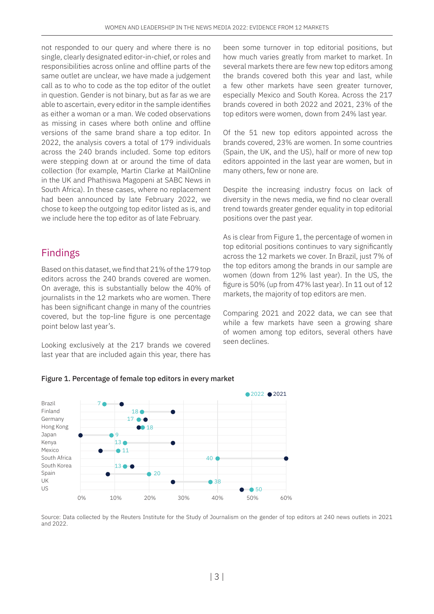not responded to our query and where there is no single, clearly designated editor-in-chief, or roles and responsibilities across online and offline parts of the same outlet are unclear, we have made a judgement call as to who to code as the top editor of the outlet in question. Gender is not binary, but as far as we are able to ascertain, every editor in the sample identifies as either a woman or a man. We coded observations as missing in cases where both online and offline versions of the same brand share a top editor. In 2022, the analysis covers a total of 179 individuals across the 240 brands included. Some top editors were stepping down at or around the time of data collection (for example, Martin Clarke at MailOnline in the UK and Phathiswa Magopeni at SABC News in South Africa). In these cases, where no replacement had been announced by late February 2022, we chose to keep the outgoing top editor listed as is, and we include here the top editor as of late February.

### Findings

Based on this dataset, we find that 21% of the 179 top editors across the 240 brands covered are women. On average, this is substantially below the 40% of journalists in the 12 markets who are women. There has been significant change in many of the countries covered, but the top-line figure is one percentage point below last year's.

Looking exclusively at the 217 brands we covered last year that are included again this year, there has

been some turnover in top editorial positions, but how much varies greatly from market to market. In several markets there are few new top editors among the brands covered both this year and last, while a few other markets have seen greater turnover, especially Mexico and South Korea. Across the 217 brands covered in both 2022 and 2021, 23% of the top editors were women, down from 24% last year.

Of the 51 new top editors appointed across the brands covered, 23% are women. In some countries (Spain, the UK, and the US), half or more of new top editors appointed in the last year are women, but in many others, few or none are.

Despite the increasing industry focus on lack of diversity in the news media, we find no clear overall trend towards greater gender equality in top editorial positions over the past year.

As is clear from Figure 1, the percentage of women in top editorial positions continues to vary significantly across the 12 markets we cover. In Brazil, just 7% of the top editors among the brands in our sample are women (down from 12% last year). In the US, the figure is 50% (up from 47% last year). In 11 out of 12 markets, the majority of top editors are men.

Comparing 2021 and 2022 data, we can see that while a few markets have seen a growing share of women among top editors, several others have seen declines.





Source: Data collected by the Reuters Institute for the Study of Journalism on the gender of top editors at 240 news outlets in 2021 and 2022.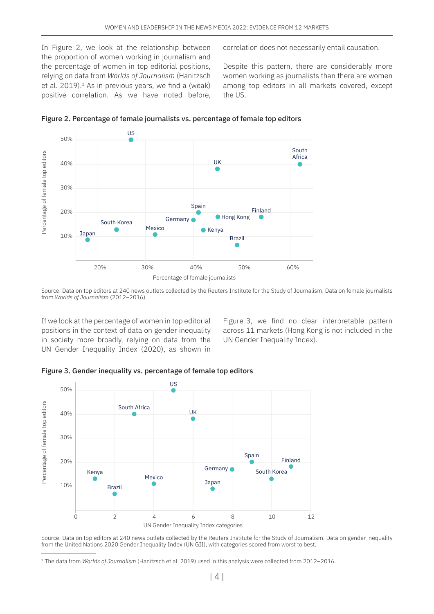In Figure 2, we look at the relationship between the proportion of women working in journalism and the percentage of women in top editorial positions, relying on data from *Worlds of Journalism* (Hanitzsch et al.  $2019$ ).<sup>1</sup> As in previous years, we find a (weak) positive correlation. As we have noted before, correlation does not necessarily entail causation.

Despite this pattern, there are considerably more women working as journalists than there are women among top editors in all markets covered, except the US.



Figure 2. Percentage of female journalists vs. percentage of female top editors

Source: Data on top editors at 240 news outlets collected by the Reuters Institute for the Study of Journalism. Data on female journalists from *Worlds of Journalism* (2012–2016).

If we look at the percentage of women in top editorial positions in the context of data on gender inequality in society more broadly, relying on data from the UN Gender Inequality Index (2020), as shown in

Figure 3, we find no clear interpretable pattern across 11 markets (Hong Kong is not included in the UN Gender Inequality Index).





Source: Data on top editors at 240 news outlets collected by the Reuters Institute for the Study of Journalism. Data on gender inequality from the United Nations 2020 Gender Inequality Index (UN GII), with categories scored from worst to best.

<sup>1</sup> The data from *Worlds of Journalism* (Hanitzsch et al. 2019) used in this analysis were collected from 2012–2016.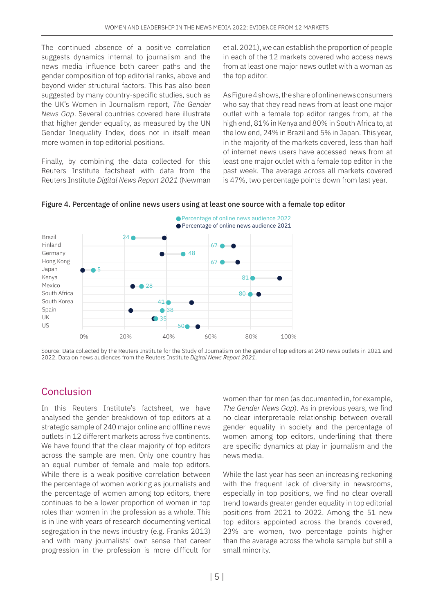The continued absence of a positive correlation suggests dynamics internal to journalism and the news media influence both career paths and the gender composition of top editorial ranks, above and beyond wider structural factors. This has also been suggested by many country-specific studies, such as the UK's Women in Journalism report, *The Gender News Gap*. Several countries covered here illustrate that higher gender equality, as measured by the UN Gender Inequality Index, does not in itself mean more women in top editorial positions.

Finally, by combining the data collected for this Reuters Institute factsheet with data from the Reuters Institute *Digital News Report 2021* (Newman et al. 2021), we can establish the proportion of people in each of the 12 markets covered who access news from at least one major news outlet with a woman as the top editor.

As Figure 4 shows, the share of online news consumers who say that they read news from at least one major outlet with a female top editor ranges from, at the high end, 81% in Kenya and 80% in South Africa to, at the low end, 24% in Brazil and 5% in Japan. This year, in the majority of the markets covered, less than half of internet news users have accessed news from at least one major outlet with a female top editor in the past week. The average across all markets covered is 47%, two percentage points down from last year.





Source: Data collected by the Reuters Institute for the Study of Journalism on the gender of top editors at 240 news outlets in 2021 and 2022. Data on news audiences from the Reuters Institute *Digital News Report 2021*.

# Conclusion

In this Reuters Institute's factsheet, we have analysed the gender breakdown of top editors at a strategic sample of 240 major online and offline news outlets in 12 different markets across five continents. We have found that the clear majority of top editors across the sample are men. Only one country has an equal number of female and male top editors. While there is a weak positive correlation between the percentage of women working as journalists and the percentage of women among top editors, there continues to be a lower proportion of women in top roles than women in the profession as a whole. This is in line with years of research documenting vertical segregation in the news industry (e.g. Franks 2013) and with many journalists' own sense that career progression in the profession is more difficult for

women than for men (as documented in, for example, *The Gender News Gap*). As in previous years, we find no clear interpretable relationship between overall gender equality in society and the percentage of women among top editors, underlining that there are specific dynamics at play in journalism and the news media.

While the last year has seen an increasing reckoning with the frequent lack of diversity in newsrooms, especially in top positions, we find no clear overall trend towards greater gender equality in top editorial positions from 2021 to 2022. Among the 51 new top editors appointed across the brands covered, 23% are women, two percentage points higher than the average across the whole sample but still a small minority.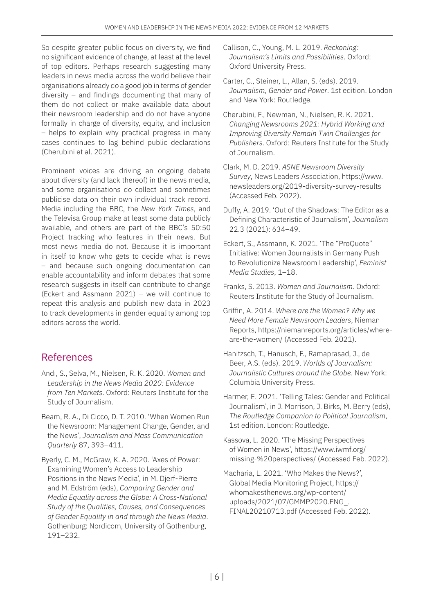So despite greater public focus on diversity, we find no significant evidence of change, at least at the level of top editors. Perhaps research suggesting many leaders in news media across the world believe their organisations already do a good job in terms of gender diversity – and findings documenting that many of them do not collect or make available data about their newsroom leadership and do not have anyone formally in charge of diversity, equity, and inclusion – helps to explain why practical progress in many cases continues to lag behind public declarations (Cherubini et al. 2021).

Prominent voices are driving an ongoing debate about diversity (and lack thereof) in the news media, and some organisations do collect and sometimes publicise data on their own individual track record. Media including the BBC, the *New York Times*, and the Televisa Group make at least some data publicly available, and others are part of the BBC's 50:50 Project tracking who features in their news. But most news media do not. Because it is important in itself to know who gets to decide what is news – and because such ongoing documentation can enable accountability and inform debates that some research suggests in itself can contribute to change (Eckert and Assmann 2021) – we will continue to repeat this analysis and publish new data in 2023 to track developments in gender equality among top editors across the world.

# References

- Andı, S., Selva, M., Nielsen, R. K. 2020. *Women and Leadership in the News Media 2020: Evidence from Ten Markets*. Oxford: Reuters Institute for the Study of Journalism.
- Beam, R. A., Di Cicco, D. T. 2010. 'When Women Run the Newsroom: Management Change, Gender, and the News', *Journalism and Mass Communication Quarterly* 87, 393–411.
- Byerly, C. M., McGraw, K. A. 2020. 'Axes of Power: Examining Women's Access to Leadership Positions in the News Media', in M. Djerf-Pierre and M. Edström (eds), *Comparing Gender and Media Equality across the Globe: A Cross-National Study of the Qualities, Causes, and Consequences of Gender Equality in and through the News Media*. Gothenburg: Nordicom, University of Gothenburg, 191–232.
- Callison, C., Young, M. L. 2019. *Reckoning: Journalism's Limits and Possibilities*. Oxford: Oxford University Press.
- Carter, C., Steiner, L., Allan, S. (eds). 2019. *Journalism, Gender and Power*. 1st edition. London and New York: Routledge.
- Cherubini, F., Newman, N., Nielsen, R. K. 2021. *Changing Newsrooms 2021: Hybrid Working and Improving Diversity Remain Twin Challenges for Publishers*. Oxford: Reuters Institute for the Study of Journalism.
- Clark, M. D. 2019. *ASNE Newsroom Diversity Survey*, News Leaders Association, [https://www.](https://www.newsleaders.org/2019-diversity-survey-results) [newsleaders.org/2019-diversity-survey-results](https://www.newsleaders.org/2019-diversity-survey-results) (Accessed Feb. 2022).
- Duffy, A. 2019. 'Out of the Shadows: The Editor as a Defining Characteristic of Journalism', *Journalism* 22.3 (2021): 634–49.
- Eckert, S., Assmann, K. 2021. 'The "ProQuote" Initiative: Women Journalists in Germany Push to Revolutionize Newsroom Leadership', *Feminist Media Studies*, 1–18.
- Franks, S. 2013. *Women and Journalism*. Oxford: Reuters Institute for the Study of Journalism.
- Griffin, A. 2014. *Where are the Women? Why we Need More Female Newsroom Leaders*, Nieman Reports, [https://niemanreports.org/articles/where](https://niemanreports.org/articles/where-are-the-women/)[are-the-women/](https://niemanreports.org/articles/where-are-the-women/) (Accessed Feb. 2021).
- Hanitzsch, T., Hanusch, F., Ramaprasad, J., de Beer, A.S. (eds). 2019. *Worlds of Journalism: Journalistic Cultures around the Globe*. New York: Columbia University Press.
- Harmer, E. 2021. 'Telling Tales: Gender and Political Journalism', in J. Morrison, J. Birks, M. Berry (eds), *The Routledge Companion to Political Journalism*, 1st edition. London: Routledge.
- Kassova, L. 2020. 'The Missing Perspectives of Women in News', [https://www.iwmf.org/](https://www.iwmf.org/missing-%20perspectives/) [missing-%20perspectives/](https://www.iwmf.org/missing-%20perspectives/) (Accessed Feb. 2022).
- Macharia, L. 2021. 'Who Makes the News?', Global Media Monitoring Project, [https://](https://whomakesthenews.org/wp-content/uploads/2021/07/GMMP2020.ENG_.FINAL20210713.pdf ) [whomakesthenews.org/wp-content/](https://whomakesthenews.org/wp-content/uploads/2021/07/GMMP2020.ENG_.FINAL20210713.pdf ) [uploads/2021/07/GMMP2020.ENG\\_.](https://whomakesthenews.org/wp-content/uploads/2021/07/GMMP2020.ENG_.FINAL20210713.pdf ) [FINAL20210713.pdf](https://whomakesthenews.org/wp-content/uploads/2021/07/GMMP2020.ENG_.FINAL20210713.pdf ) (Accessed Feb. 2022).